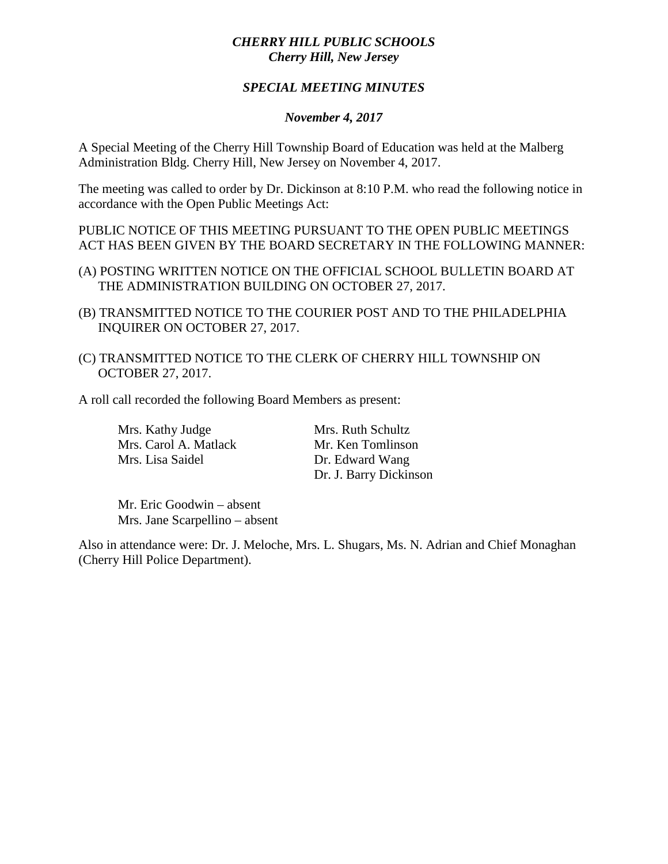## *CHERRY HILL PUBLIC SCHOOLS Cherry Hill, New Jersey*

## *SPECIAL MEETING MINUTES*

## *November 4, 2017*

A Special Meeting of the Cherry Hill Township Board of Education was held at the Malberg Administration Bldg. Cherry Hill, New Jersey on November 4, 2017.

The meeting was called to order by Dr. Dickinson at 8:10 P.M. who read the following notice in accordance with the Open Public Meetings Act:

PUBLIC NOTICE OF THIS MEETING PURSUANT TO THE OPEN PUBLIC MEETINGS ACT HAS BEEN GIVEN BY THE BOARD SECRETARY IN THE FOLLOWING MANNER:

- (A) POSTING WRITTEN NOTICE ON THE OFFICIAL SCHOOL BULLETIN BOARD AT THE ADMINISTRATION BUILDING ON OCTOBER 27, 2017.
- (B) TRANSMITTED NOTICE TO THE COURIER POST AND TO THE PHILADELPHIA INQUIRER ON OCTOBER 27, 2017.
- (C) TRANSMITTED NOTICE TO THE CLERK OF CHERRY HILL TOWNSHIP ON OCTOBER 27, 2017.

A roll call recorded the following Board Members as present:

Mrs. Kathy Judge Mrs. Ruth Schultz Mrs. Carol A. Matlack Mr. Ken Tomlinson Mrs. Lisa Saidel Dr. Edward Wang

Dr. J. Barry Dickinson

Mr. Eric Goodwin – absent Mrs. Jane Scarpellino – absent

Also in attendance were: Dr. J. Meloche, Mrs. L. Shugars, Ms. N. Adrian and Chief Monaghan (Cherry Hill Police Department).